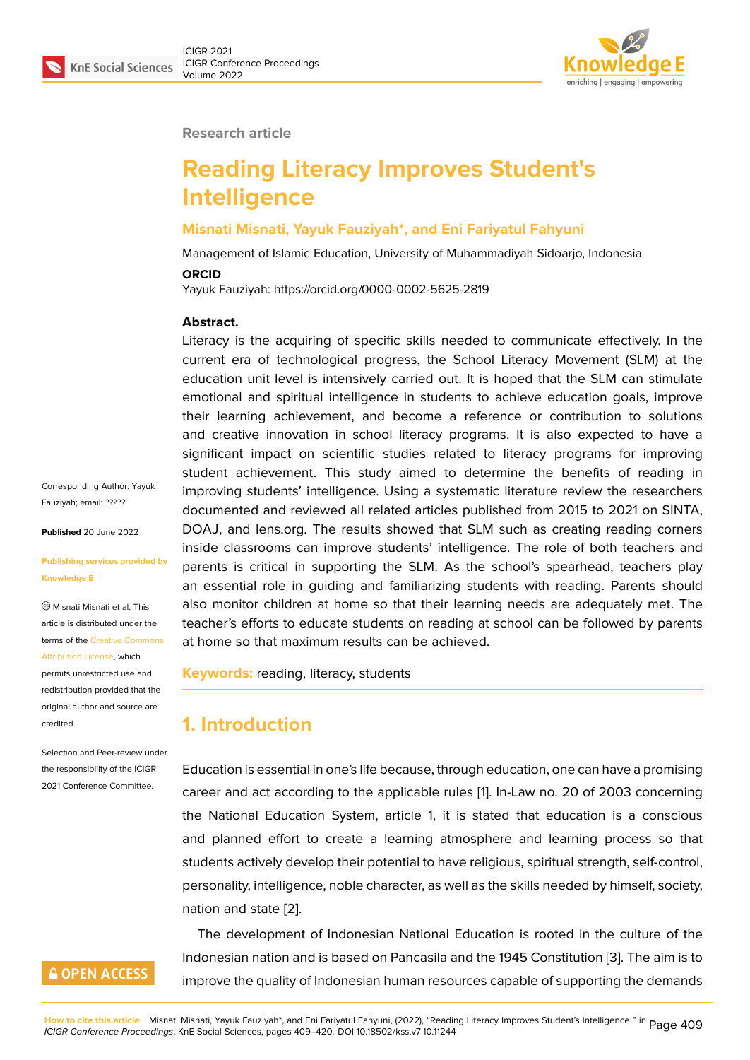

#### **Research article**

# **Reading Literacy Improves Student's Intelligence**

### **Misnati Misnati, Yayuk Fauziyah\*, and Eni Fariyatul Fahyuni**

Management of Islamic Education, University of Muhammadiyah Sidoarjo, Indonesia

#### **ORCID**

Yayuk Fauziyah: https://orcid.org/0000-0002-5625-2819

#### **Abstract.**

Literacy is the acquiring of specific skills needed to communicate effectively. In the current era of technological progress, the School Literacy Movement (SLM) at the education unit level is intensively carried out. It is hoped that the SLM can stimulate emotional and spiritual intelligence in students to achieve education goals, improve their learning achievement, and become a reference or contribution to solutions and creative innovation in school literacy programs. It is also expected to have a significant impact on scientific studies related to literacy programs for improving student achievement. This study aimed to determine the benefits of reading in improving students' intelligence. Using a systematic literature review the researchers documented and reviewed all related articles published from 2015 to 2021 on SINTA, DOAJ, and lens.org. The results showed that SLM such as creating reading corners inside classrooms can improve students' intelligence. The role of both teachers and parents is critical in supporting the SLM. As the school's spearhead, teachers play an essential role in guiding and familiarizing students with reading. Parents should also monitor children at home so that their learning needs are adequately met. The teacher's efforts to educate students on reading at school can be followed by parents at home so that maximum results can be achieved.

**Keywords:** reading, literacy, students

## **1. Introduction**

Education is essential in one's life because, through education, one can have a promising career and act according to the applicable rules [1]. In-Law no. 20 of 2003 concerning the National Education System, article 1, it is stated that education is a conscious and planned effort to create a learning atmosphere and learning process so that students actively develop their potential to have r[eli](#page-9-0)gious, spiritual strength, self-control, personality, intelligence, noble character, as well as the skills needed by himself, society, nation and state [2].

The development of Indonesian National Education is rooted in the culture of the Indonesian nation and is based on Pancasila and the 1945 Constitution [3]. The aim is to improve the quali[ty](#page-9-1) of Indonesian human resources capable of supporting the demands

Corresponding Author: Yayuk Fauziyah; email: ?????

**Published** 20 June 2022

#### **Publishing servi[ces pr](mailto:?????)ovided by Knowledge E**

Misnati Misnati et al. This article is distributed under the terms of the Creative Commons Attribution License, which permits unrestricted use and redistribution provided that the original auth[or and source are](https://creativecommons.org/licenses/by/4.0/)

Selection and Peer-review under the responsibility of the ICIGR 2021 Conference Committee.

[credited.](https://creativecommons.org/licenses/by/4.0/)

## **GOPEN ACCESS**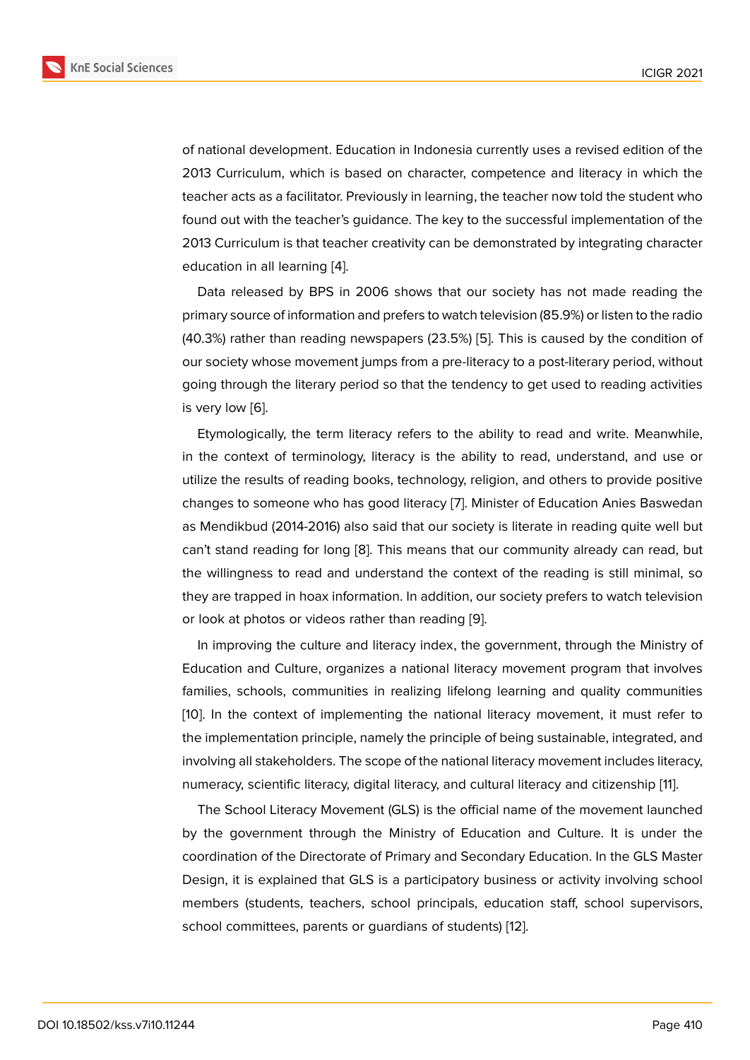of national development. Education in Indonesia currently uses a revised edition of the 2013 Curriculum, which is based on character, competence and literacy in which the teacher acts as a facilitator. Previously in learning, the teacher now told the student who found out with the teacher's guidance. The key to the successful implementation of the 2013 Curriculum is that teacher creativity can be demonstrated by integrating character education in all learning [4].

Data released by BPS in 2006 shows that our society has not made reading the primary source of information and prefers to watch television (85.9%) or listen to the radio (40.3%) rather than readi[ng](#page-9-3) newspapers (23.5%) [5]. This is caused by the condition of our society whose movement jumps from a pre-literacy to a post-literary period, without going through the literary period so that the tendency to get used to reading activities is very low [6].

Etymologically, the term literacy refers to the ability to read and write. Meanwhile, in the context of terminology, literacy is the ability to read, understand, and use or utilize the r[es](#page-9-4)ults of reading books, technology, religion, and others to provide positive changes to someone who has good literacy [7]. Minister of Education Anies Baswedan as Mendikbud (2014-2016) also said that our society is literate in reading quite well but can't stand reading for long [8]. This means that our community already can read, but the willingness to read and understand the [co](#page-9-5)ntext of the reading is still minimal, so they are trapped in hoax information. In addition, our society prefers to watch television or look at photos or videos r[ath](#page-9-6)er than reading [9].

In improving the culture and literacy index, the government, through the Ministry of Education and Culture, organizes a national literacy movement program that involves families, schools, communities in realizing lifel[on](#page-9-7)g learning and quality communities [10]. In the context of implementing the national literacy movement, it must refer to the implementation principle, namely the principle of being sustainable, integrated, and involving all stakeholders. The scope of the national literacy movement includes literacy, [num](#page-9-8)eracy, scientific literacy, digital literacy, and cultural literacy and citizenship [11].

The School Literacy Movement (GLS) is the official name of the movement launched by the government through the Ministry of Education and Culture. It is under the coordination of the Directorate of Primary and Secondary Education. In the GLS [M](#page-9-9)aster Design, it is explained that GLS is a participatory business or activity involving school members (students, teachers, school principals, education staff, school supervisors, school committees, parents or guardians of students) [12].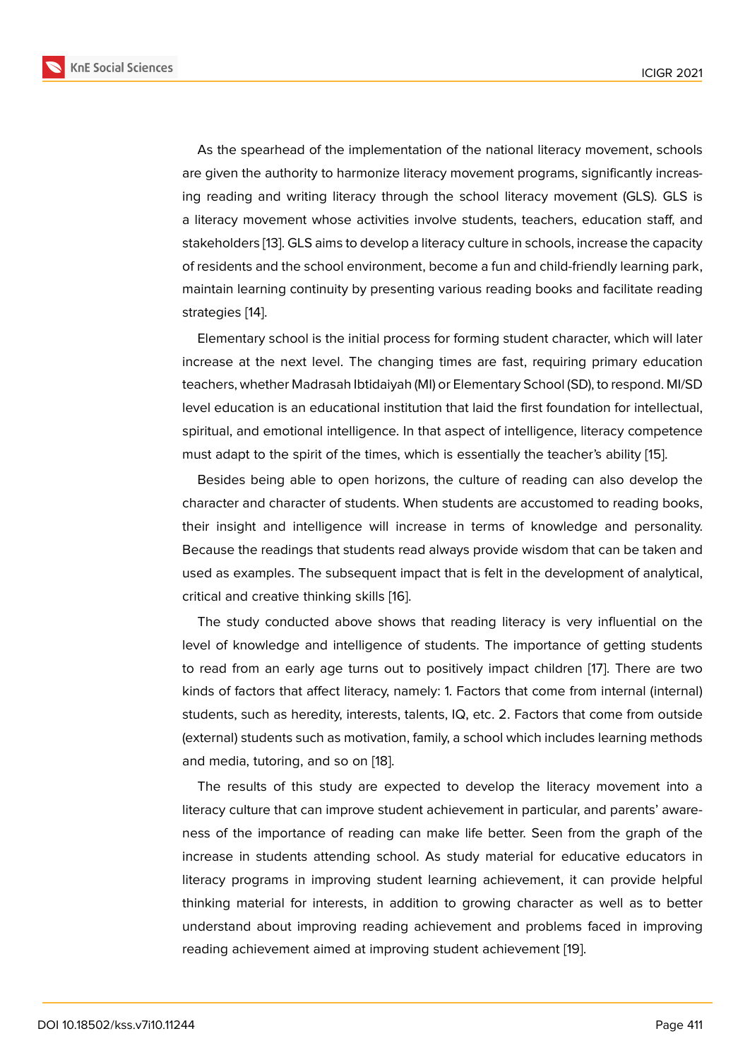As the spearhead of the implementation of the national literacy movement, schools are given the authority to harmonize literacy movement programs, significantly increasing reading and writing literacy through the school literacy movement (GLS). GLS is a literacy movement whose activities involve students, teachers, education staff, and stakeholders [13]. GLS aims to develop a literacy culture in schools, increase the capacity of residents and the school environment, become a fun and child-friendly learning park, maintain learning continuity by presenting various reading books and facilitate reading strategies [14][.](#page-10-0)

Elementary school is the initial process for forming student character, which will later increase at the next level. The changing times are fast, requiring primary education teachers, [whe](#page-10-1)ther Madrasah Ibtidaiyah (MI) or Elementary School (SD), to respond. MI/SD level education is an educational institution that laid the first foundation for intellectual, spiritual, and emotional intelligence. In that aspect of intelligence, literacy competence must adapt to the spirit of the times, which is essentially the teacher's ability [15].

Besides being able to open horizons, the culture of reading can also develop the character and character of students. When students are accustomed to reading books, their insight and intelligence will increase in terms of knowledge and p[ers](#page-10-2)onality. Because the readings that students read always provide wisdom that can be taken and used as examples. The subsequent impact that is felt in the development of analytical, critical and creative thinking skills [16].

The study conducted above shows that reading literacy is very influential on the level of knowledge and intelligence of students. The importance of getting students to read from an early age turns o[ut](#page-10-3) to positively impact children [17]. There are two kinds of factors that affect literacy, namely: 1. Factors that come from internal (internal) students, such as heredity, interests, talents, IQ, etc. 2. Factors that come from outside (external) students such as motivation, family, a school which include[s le](#page-10-4)arning methods and media, tutoring, and so on [18].

The results of this study are expected to develop the literacy movement into a literacy culture that can improve student achievement in particular, and parents' awareness of the importance of rea[ding](#page-10-5) can make life better. Seen from the graph of the increase in students attending school. As study material for educative educators in literacy programs in improving student learning achievement, it can provide helpful thinking material for interests, in addition to growing character as well as to better understand about improving reading achievement and problems faced in improving reading achievement aimed at improving student achievement [19].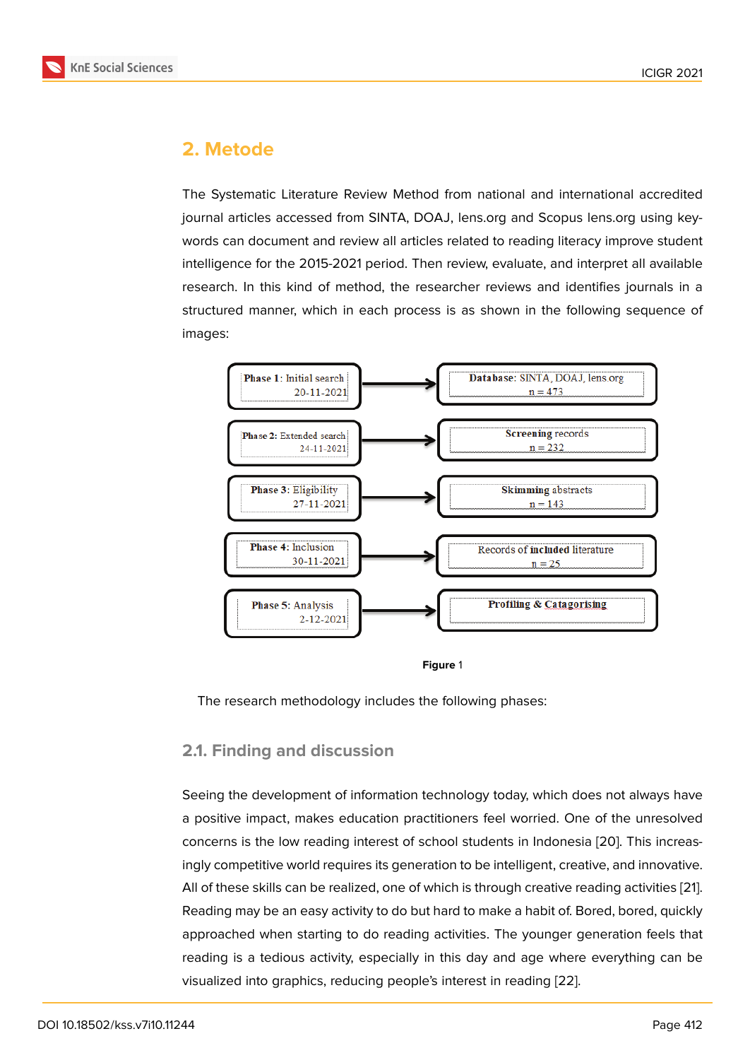## **2. Metode**

The Systematic Literature Review Method from national and international accredited journal articles accessed from SINTA, DOAJ, lens.org and Scopus lens.org using keywords can document and review all articles related to reading literacy improve student intelligence for the 2015-2021 period. Then review, evaluate, and interpret all available research. In this kind of method, the researcher reviews and identifies journals in a structured manner, which in each process is as shown in the following sequence of images:



**Figure** 1

The research methodology includes the following phases:

### **2.1. Finding and discussion**

Seeing the development of information technology today, which does not always have a positive impact, makes education practitioners feel worried. One of the unresolved concerns is the low reading interest of school students in Indonesia [20]. This increasingly competitive world requires its generation to be intelligent, creative, and innovative. All of these skills can be realized, one of which is through creative reading activities [21]. Reading may be an easy activity to do but hard to make a habit of. Bor[ed,](#page-10-6) bored, quickly approached when starting to do reading activities. The younger generation feels that reading is a tedious activity, especially in this day and age where everything can [be](#page-10-7) visualized into graphics, reducing people's interest in reading [22].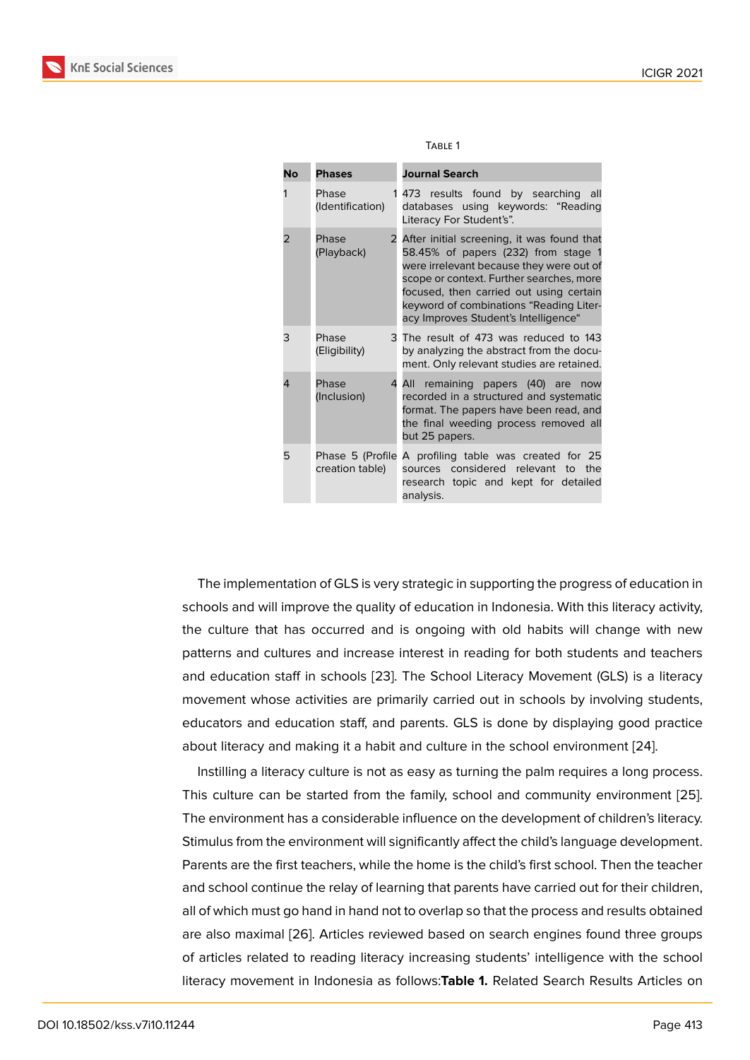| <b>No</b> | <b>Phases</b>                       | <b>Journal Search</b>                                                                                                                                                                                                                                                                                   |
|-----------|-------------------------------------|---------------------------------------------------------------------------------------------------------------------------------------------------------------------------------------------------------------------------------------------------------------------------------------------------------|
|           | Phase<br>(Identification)           | 1 473 results found by searching<br>- all<br>databases using keywords: "Reading<br>Literacy For Student's".                                                                                                                                                                                             |
| 2         | Phase<br>2<br>(Playback)            | After initial screening, it was found that<br>58.45% of papers (232) from stage 1<br>were irrelevant because they were out of<br>scope or context. Further searches, more<br>focused, then carried out using certain<br>keyword of combinations "Reading Liter-<br>acy Improves Student's Intelligence" |
| 3         | Phase<br>(Eligibility)              | 3 The result of 473 was reduced to 143<br>by analyzing the abstract from the docu-<br>ment. Only relevant studies are retained.                                                                                                                                                                         |
| 4         | Phase<br>4<br>(Inclusion)           | All remaining papers (40) are<br>now<br>recorded in a structured and systematic<br>format. The papers have been read, and<br>the final weeding process removed all<br>but 25 papers.                                                                                                                    |
| 5         | Phase 5 (Profile<br>creation table) | A profiling table was created for 25<br>sources considered relevant to the<br>research topic and kept for detailed<br>analysis.                                                                                                                                                                         |

| w<br>۰. |
|---------|
|---------|

The implementation of GLS is very strategic in supporting the progress of education in schools and will improve the quality of education in Indonesia. With this literacy activity, the culture that has occurred and is ongoing with old habits will change with new patterns and cultures and increase interest in reading for both students and teachers and education staff in schools [23]. The School Literacy Movement (GLS) is a literacy movement whose activities are primarily carried out in schools by involving students, educators and education staff, and parents. GLS is done by displaying good practice about literacy and making it a h[abit](#page-10-8) and culture in the school environment [24].

Instilling a literacy culture is not as easy as turning the palm requires a long process. This culture can be started from the family, school and community environment [25]. The environment has a considerable influence on the development of childr[en's](#page-10-9) literacy. Stimulus from the environment will significantly affect the child's language development. Parents are the first teachers, while the home is the child's first school. Then the tea[che](#page-11-0)r and school continue the relay of learning that parents have carried out for their children, all of which must go hand in hand not to overlap so that the process and results obtained are also maximal [26]. Articles reviewed based on search engines found three groups of articles related to reading literacy increasing students' intelligence with the school literacy movement in Indonesia as follows:**Table 1.** Related Search Results Articles on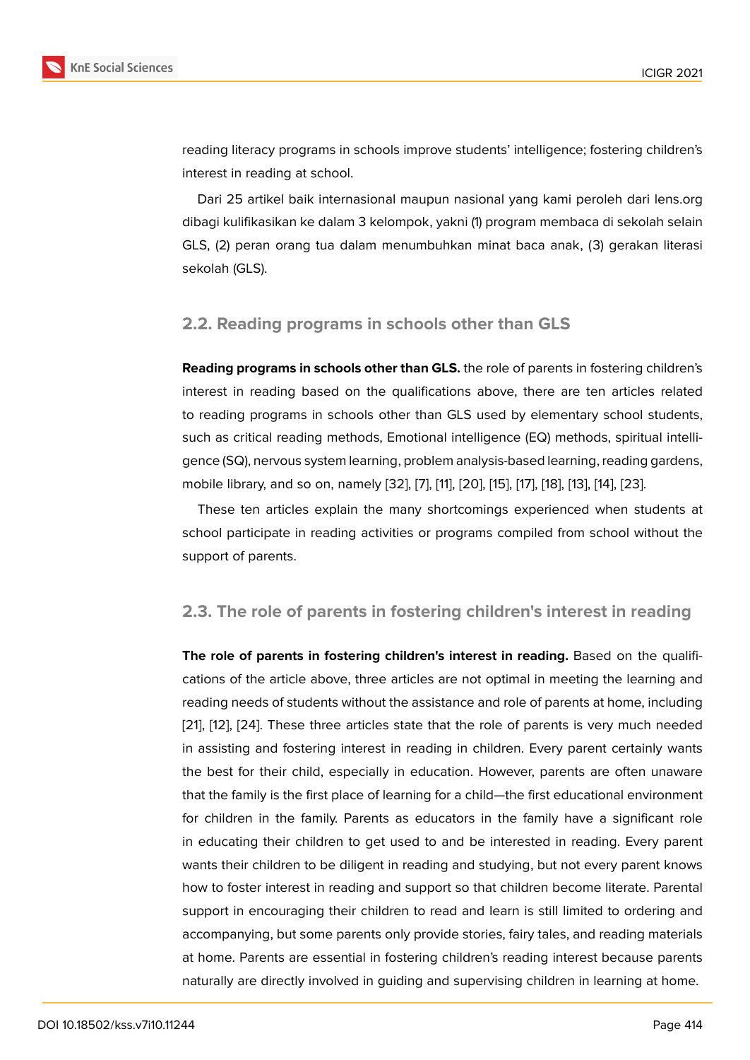reading literacy programs in schools improve students' intelligence; fostering children's interest in reading at school.

Dari 25 artikel baik internasional maupun nasional yang kami peroleh dari lens.org dibagi kulifikasikan ke dalam 3 kelompok, yakni (1) program membaca di sekolah selain GLS, (2) peran orang tua dalam menumbuhkan minat baca anak, (3) gerakan literasi sekolah (GLS).

### **2.2. Reading programs in schools other than GLS**

**Reading programs in schools other than GLS.** the role of parents in fostering children's interest in reading based on the qualifications above, there are ten articles related to reading programs in schools other than GLS used by elementary school students, such as critical reading methods, Emotional intelligence (EQ) methods, spiritual intelligence (SQ), nervous system learning, problem analysis-based learning, reading gardens, mobile library, and so on, namely [32], [7], [11], [20], [15], [17], [18], [13], [14], [23].

These ten articles explain the many shortcomings experienced when students at school participate in reading activities or programs compiled from school without the support of parents.

### **2.3. The role of parents in fostering children's interest in reading**

**The role of parents in fostering children's interest in reading.** Based on the qualifications of the article above, three articles are not optimal in meeting the learning and reading needs of students without the assistance and role of parents at home, including [21], [12], [24]. These three articles state that the role of parents is very much needed in assisting and fostering interest in reading in children. Every parent certainly wants the best for their child, especially in education. However, parents are often unaware [tha](#page-10-7)t [the](#page-9-10) f[ami](#page-10-9)ly is the first place of learning for a child—the first educational environment for children in the family. Parents as educators in the family have a significant role in educating their children to get used to and be interested in reading. Every parent wants their children to be diligent in reading and studying, but not every parent knows how to foster interest in reading and support so that children become literate. Parental support in encouraging their children to read and learn is still limited to ordering and accompanying, but some parents only provide stories, fairy tales, and reading materials at home. Parents are essential in fostering children's reading interest because parents naturally are directly involved in guiding and supervising children in learning at home.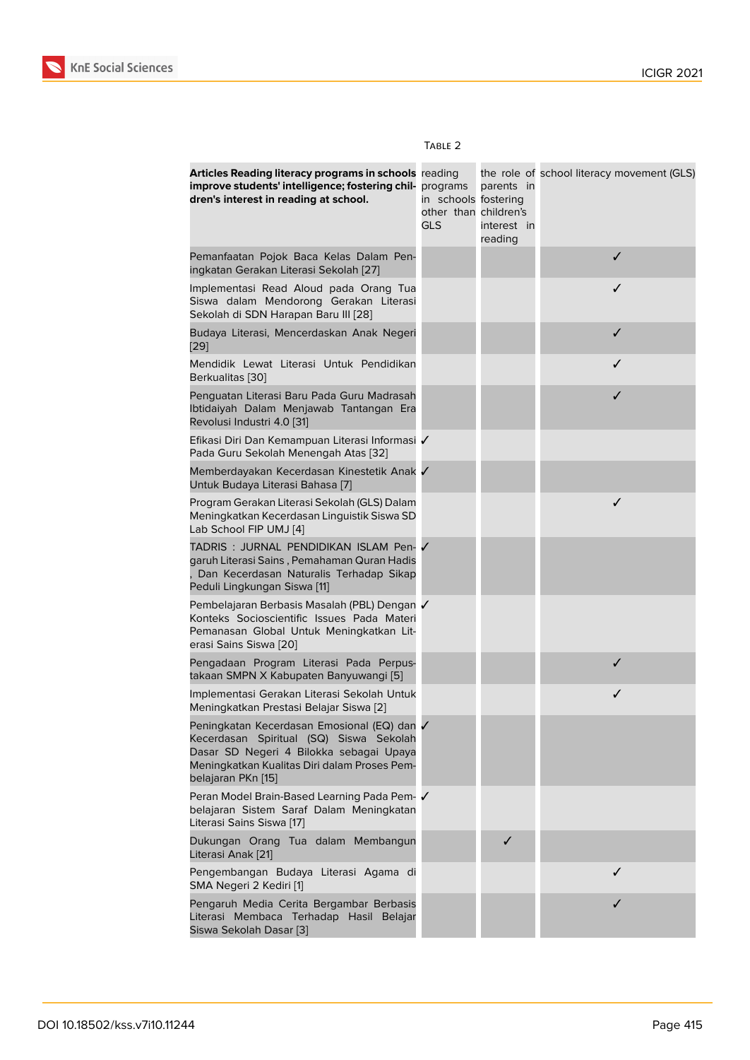| Articles Reading literacy programs in schools reading<br>improve students' intelligence; fostering chil- programs<br>dren's interest in reading at school.                                              | in schools fostering<br>other than children's<br><b>GLS</b> | parents in<br>interest in<br>reading | the role of school literacy movement (GLS) |
|---------------------------------------------------------------------------------------------------------------------------------------------------------------------------------------------------------|-------------------------------------------------------------|--------------------------------------|--------------------------------------------|
| Pemanfaatan Pojok Baca Kelas Dalam Pen-<br>ingkatan Gerakan Literasi Sekolah [27]                                                                                                                       |                                                             |                                      | $\checkmark$                               |
| Implementasi Read Aloud pada Orang Tua<br>Siswa dalam Mendorong Gerakan Literasi<br>Sekolah di SDN Harapan Baru III [28]                                                                                |                                                             |                                      | ✓                                          |
| Budaya Literasi, Mencerdaskan Anak Negeri<br>$[29]$                                                                                                                                                     |                                                             |                                      | ✓                                          |
| Mendidik Lewat Literasi Untuk Pendidikan<br>Berkualitas [30]                                                                                                                                            |                                                             |                                      | ✓                                          |
| Penguatan Literasi Baru Pada Guru Madrasah<br>Ibtidaiyah Dalam Menjawab Tantangan Era<br>Revolusi Industri 4.0 [31]                                                                                     |                                                             |                                      | ✓                                          |
| Efikasi Diri Dan Kemampuan Literasi Informasi √<br>Pada Guru Sekolah Menengah Atas [32]                                                                                                                 |                                                             |                                      |                                            |
| Memberdayakan Kecerdasan Kinestetik Anak √<br>Untuk Budaya Literasi Bahasa [7]                                                                                                                          |                                                             |                                      |                                            |
| Program Gerakan Literasi Sekolah (GLS) Dalam<br>Meningkatkan Kecerdasan Linguistik Siswa SD<br>Lab School FIP UMJ [4]                                                                                   |                                                             |                                      | ✓                                          |
| TADRIS: JURNAL PENDIDIKAN ISLAM Pen-√<br>garuh Literasi Sains, Pemahaman Quran Hadis<br>Dan Kecerdasan Naturalis Terhadap Sikap<br>Peduli Lingkungan Siswa [11]                                         |                                                             |                                      |                                            |
| Pembelajaran Berbasis Masalah (PBL) Dengan √<br>Konteks Socioscientific Issues Pada Materi<br>Pemanasan Global Untuk Meningkatkan Lit-<br>erasi Sains Siswa [20]                                        |                                                             |                                      |                                            |
| Pengadaan Program Literasi Pada Perpus-<br>takaan SMPN X Kabupaten Banyuwangi [5]                                                                                                                       |                                                             |                                      | $\checkmark$                               |
| Implementasi Gerakan Literasi Sekolah Untuk<br>Meningkatkan Prestasi Belajar Siswa [2]                                                                                                                  |                                                             |                                      | $\checkmark$                               |
| Peningkatan Kecerdasan Emosional (EQ) dan √<br>Kecerdasan Spiritual (SQ) Siswa Sekolah<br>Dasar SD Negeri 4 Bilokka sebagai Upaya<br>Meningkatkan Kualitas Diri dalam Proses Pem-<br>belajaran PKn [15] |                                                             |                                      |                                            |
| Peran Model Brain-Based Learning Pada Pem- √<br>belajaran Sistem Saraf Dalam Meningkatan<br>Literasi Sains Siswa [17]                                                                                   |                                                             |                                      |                                            |
| Dukungan Orang Tua dalam Membangun<br>Literasi Anak [21]                                                                                                                                                |                                                             | ✓                                    |                                            |
| Pengembangan Budaya Literasi Agama di<br>SMA Negeri 2 Kediri [1]                                                                                                                                        |                                                             |                                      | ✓                                          |
| Pengaruh Media Cerita Bergambar Berbasis<br>Literasi Membaca Terhadap Hasil Belajar<br>Siswa Sekolah Dasar [3]                                                                                          |                                                             |                                      | ✓                                          |

#### TABLE 2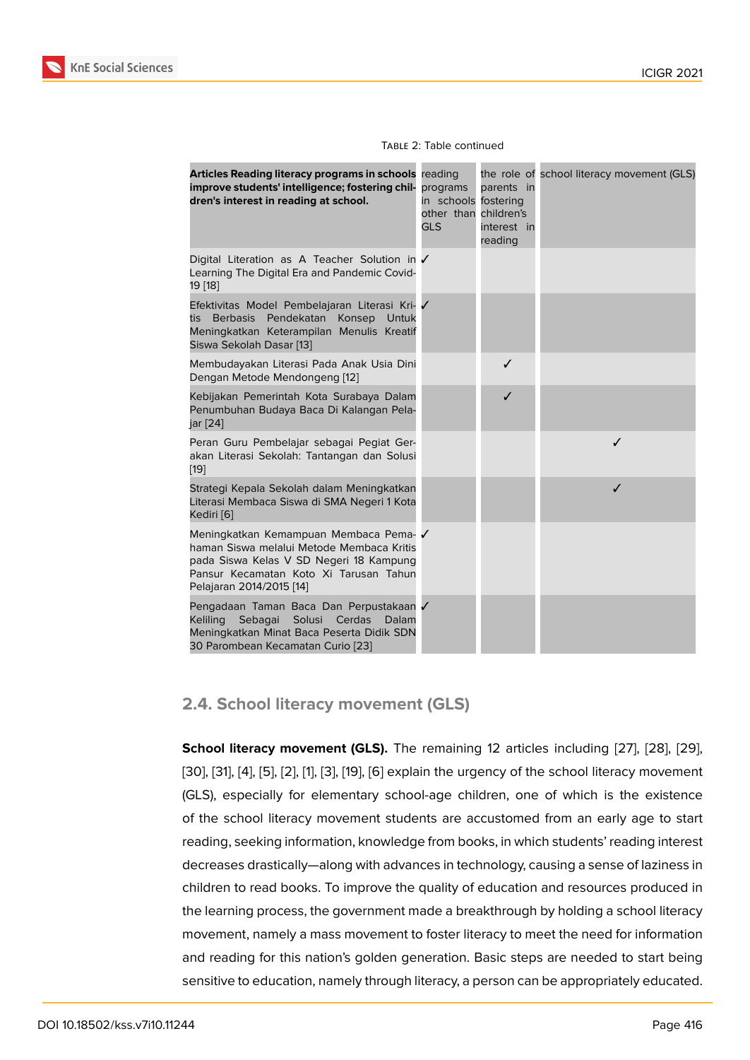| Articles Reading literacy programs in schools reading<br>improve students' intelligence; fostering chil-<br>dren's interest in reading at school.                                                   | programs<br>in schools<br>other than<br><b>GLS</b> | parents in<br>fostering<br>children's<br>interest in<br>reading | the role of school literacy movement (GLS) |
|-----------------------------------------------------------------------------------------------------------------------------------------------------------------------------------------------------|----------------------------------------------------|-----------------------------------------------------------------|--------------------------------------------|
| Digital Literation as A Teacher Solution in √<br>Learning The Digital Era and Pandemic Covid-<br>19 [18]                                                                                            |                                                    |                                                                 |                                            |
| Efektivitas Model Pembelajaran Literasi Kri- √<br>Pendekatan<br>Konsep<br><b>Berbasis</b><br>Untuk<br>tis<br>Meningkatkan Keterampilan Menulis Kreatif<br>Siswa Sekolah Dasar [13]                  |                                                    |                                                                 |                                            |
| Membudayakan Literasi Pada Anak Usia Dini<br>Dengan Metode Mendongeng [12]                                                                                                                          |                                                    | ✓                                                               |                                            |
| Kebijakan Pemerintah Kota Surabaya Dalam<br>Penumbuhan Budaya Baca Di Kalangan Pela-<br>jar [24]                                                                                                    |                                                    | ✓                                                               |                                            |
| Peran Guru Pembelajar sebagai Pegiat Ger-<br>akan Literasi Sekolah: Tantangan dan Solusi<br>[19]                                                                                                    |                                                    |                                                                 | ✓                                          |
| Strategi Kepala Sekolah dalam Meningkatkan<br>Literasi Membaca Siswa di SMA Negeri 1 Kota<br>Kediri [6]                                                                                             |                                                    |                                                                 | ✓                                          |
| Meningkatkan Kemampuan Membaca Pema-√<br>haman Siswa melalui Metode Membaca Kritis<br>pada Siswa Kelas V SD Negeri 18 Kampung<br>Pansur Kecamatan Koto Xi Tarusan Tahun<br>Pelajaran 2014/2015 [14] |                                                    |                                                                 |                                            |
| Pengadaan Taman Baca Dan Perpustakaan √<br><b>Keliling</b><br>Sebagai<br>Solusi Cerdas<br>Dalam<br>Meningkatkan Minat Baca Peserta Didik SDN<br>30 Parombean Kecamatan Curio [23]                   |                                                    |                                                                 |                                            |

### **2.4. School literacy m[ov](#page-10-8)ement (GLS)**

**School literacy movement (GLS).** The remaining 12 articles including [27], [28], [29], [30], [31], [4], [5], [2], [1], [3], [19], [6] explain the urgency of the school literacy movement (GLS), especially for elementary school-age children, one of which is the existence of the school literacy movement students are accustomed from an ear[ly a](#page-11-1)g[e to](#page-11-6) [star](#page-11-2)t [rea](#page-11-3)di[ng](#page-11-4), s[ee](#page-9-3)[kin](#page-9-11)g [in](#page-9-1)f[or](#page-9-0)m[at](#page-9-2)io[n, k](#page-10-10)[no](#page-9-4)wledge from books, in which students' reading interest decreases drastically—along with advances in technology, causing a sense of laziness in children to read books. To improve the quality of education and resources produced in the learning process, the government made a breakthrough by holding a school literacy movement, namely a mass movement to foster literacy to meet the need for information and reading for this nation's golden generation. Basic steps are needed to start being sensitive to education, namely through literacy, a person can be appropriately educated.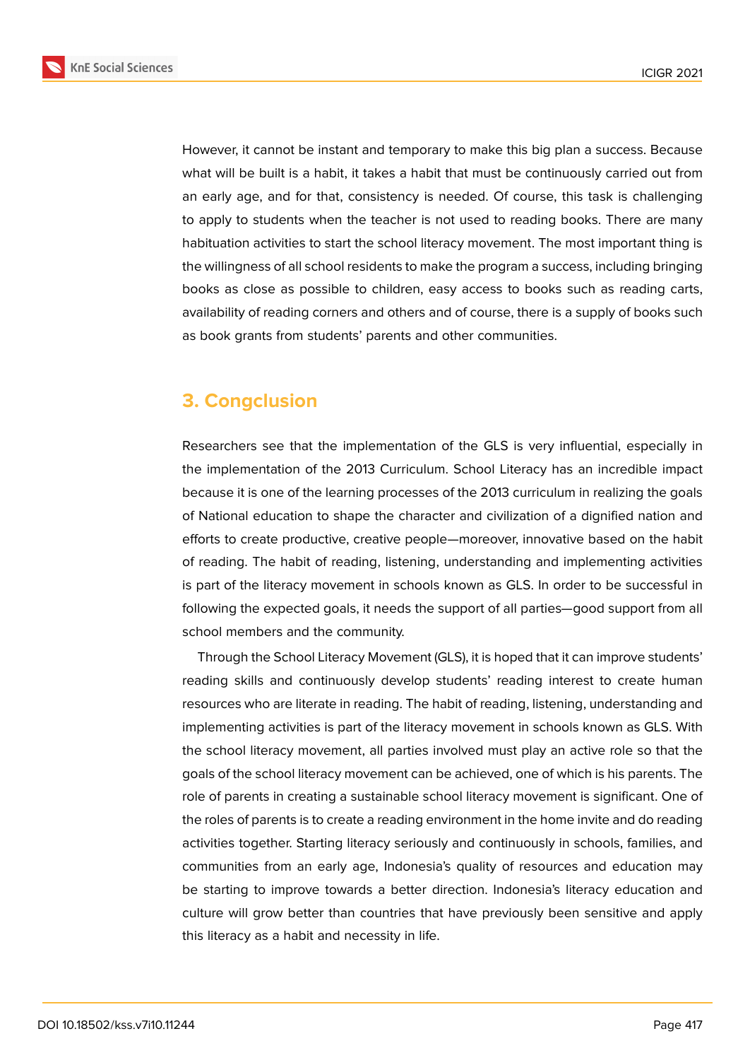

**KnE Social Sciences** 

However, it cannot be instant and temporary to make this big plan a success. Because what will be built is a habit, it takes a habit that must be continuously carried out from an early age, and for that, consistency is needed. Of course, this task is challenging to apply to students when the teacher is not used to reading books. There are many habituation activities to start the school literacy movement. The most important thing is the willingness of all school residents to make the program a success, including bringing books as close as possible to children, easy access to books such as reading carts, availability of reading corners and others and of course, there is a supply of books such as book grants from students' parents and other communities.

## **3. Congclusion**

Researchers see that the implementation of the GLS is very influential, especially in the implementation of the 2013 Curriculum. School Literacy has an incredible impact because it is one of the learning processes of the 2013 curriculum in realizing the goals of National education to shape the character and civilization of a dignified nation and efforts to create productive, creative people—moreover, innovative based on the habit of reading. The habit of reading, listening, understanding and implementing activities is part of the literacy movement in schools known as GLS. In order to be successful in following the expected goals, it needs the support of all parties—good support from all school members and the community.

Through the School Literacy Movement (GLS), it is hoped that it can improve students' reading skills and continuously develop students' reading interest to create human resources who are literate in reading. The habit of reading, listening, understanding and implementing activities is part of the literacy movement in schools known as GLS. With the school literacy movement, all parties involved must play an active role so that the goals of the school literacy movement can be achieved, one of which is his parents. The role of parents in creating a sustainable school literacy movement is significant. One of the roles of parents is to create a reading environment in the home invite and do reading activities together. Starting literacy seriously and continuously in schools, families, and communities from an early age, Indonesia's quality of resources and education may be starting to improve towards a better direction. Indonesia's literacy education and culture will grow better than countries that have previously been sensitive and apply this literacy as a habit and necessity in life.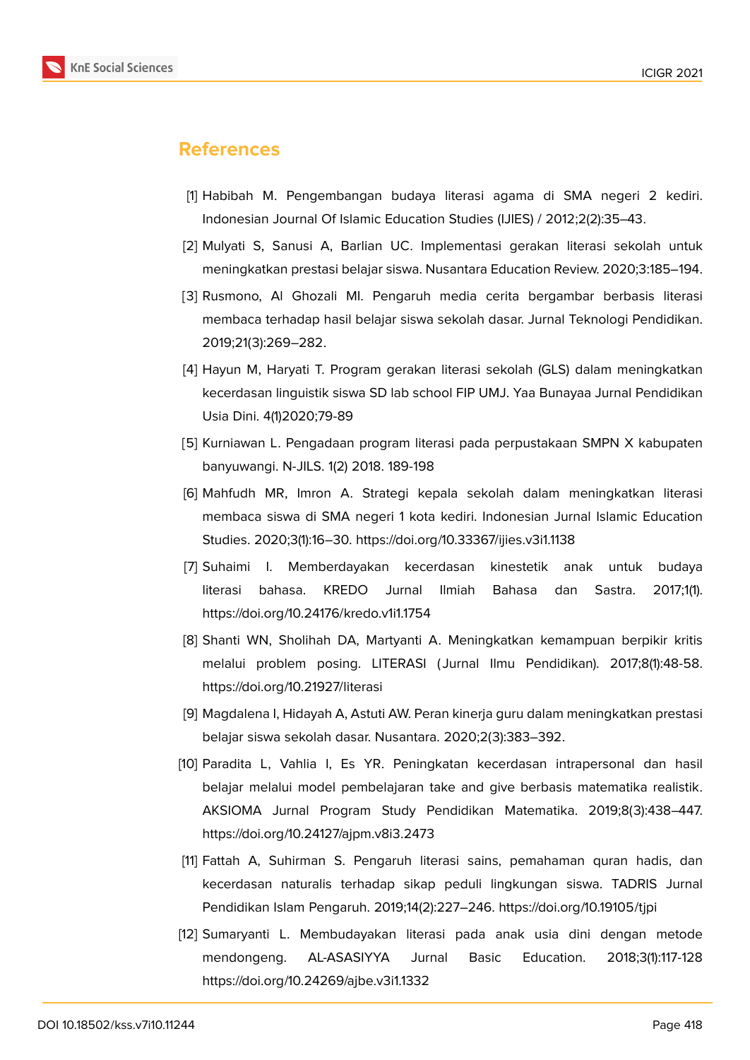

## **References**

- <span id="page-9-0"></span>[1] Habibah M. Pengembangan budaya literasi agama di SMA negeri 2 kediri. Indonesian Journal Of Islamic Education Studies (IJIES) / 2012;2(2):35–43.
- <span id="page-9-1"></span>[2] Mulyati S, Sanusi A, Barlian UC. Implementasi gerakan literasi sekolah untuk meningkatkan prestasi belajar siswa. Nusantara Education Review. 2020;3:185–194.
- <span id="page-9-2"></span>[3] Rusmono, Al Ghozali MI. Pengaruh media cerita bergambar berbasis literasi membaca terhadap hasil belajar siswa sekolah dasar. Jurnal Teknologi Pendidikan. 2019;21(3):269–282.
- <span id="page-9-3"></span>[4] Hayun M, Haryati T. Program gerakan literasi sekolah (GLS) dalam meningkatkan kecerdasan linguistik siswa SD lab school FIP UMJ. Yaa Bunayaa Jurnal Pendidikan Usia Dini. 4(1)2020;79-89
- <span id="page-9-11"></span>[5] Kurniawan L. Pengadaan program literasi pada perpustakaan SMPN X kabupaten banyuwangi. N-JILS. 1(2) 2018. 189-198
- <span id="page-9-4"></span>[6] Mahfudh MR, Imron A. Strategi kepala sekolah dalam meningkatkan literasi membaca siswa di SMA negeri 1 kota kediri. Indonesian Jurnal Islamic Education Studies. 2020;3(1):16–30. https://doi.org/10.33367/ijies.v3i1.1138
- <span id="page-9-5"></span>[7] Suhaimi I. Memberdayakan kecerdasan kinestetik anak untuk budaya literasi bahasa. KREDO Jurnal Ilmiah Bahasa dan Sastra. 2017;1(1). https://doi.org/10.24176/kredo.v1i1.1754
- <span id="page-9-6"></span>[8] Shanti WN, Sholihah DA, Martyanti A. Meningkatkan kemampuan berpikir kritis melalui problem posing. LITERASI ( Jurnal Ilmu Pendidikan). 2017;8(1):48-58. https://doi.org/10.21927/literasi
- <span id="page-9-7"></span>[9] Magdalena I, Hidayah A, Astuti AW. Peran kinerja guru dalam meningkatkan prestasi belajar siswa sekolah dasar. Nusantara. 2020;2(3):383–392.
- <span id="page-9-8"></span>[10] Paradita L, Vahlia I, Es YR. Peningkatan kecerdasan intrapersonal dan hasil belajar melalui model pembelajaran take and give berbasis matematika realistik. AKSIOMA Jurnal Program Study Pendidikan Matematika. 2019;8(3):438–447. https://doi.org/10.24127/ajpm.v8i3.2473
- <span id="page-9-9"></span>[11] Fattah A, Suhirman S. Pengaruh literasi sains, pemahaman quran hadis, dan kecerdasan naturalis terhadap sikap peduli lingkungan siswa. TADRIS Jurnal Pendidikan Islam Pengaruh. 2019;14(2):227–246. https://doi.org/10.19105/tjpi
- <span id="page-9-10"></span>[12] Sumaryanti L. Membudayakan literasi pada anak usia dini dengan metode mendongeng. AL-ASASIYYA Jurnal Basic Education. 2018;3(1):117-128 https://doi.org/10.24269/ajbe.v3i1.1332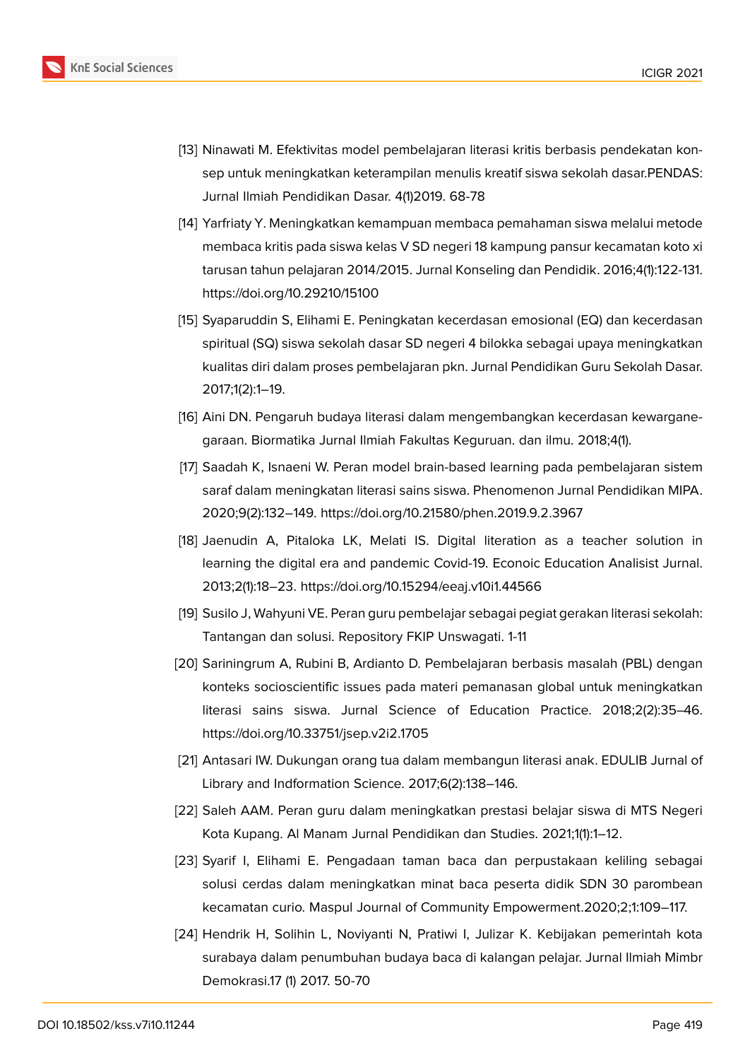

- <span id="page-10-0"></span>[13] Ninawati M. Efektivitas model pembelajaran literasi kritis berbasis pendekatan konsep untuk meningkatkan keterampilan menulis kreatif siswa sekolah dasar.PENDAS: Jurnal Ilmiah Pendidikan Dasar. 4(1)2019. 68-78
- <span id="page-10-1"></span>[14] Yarfriaty Y. Meningkatkan kemampuan membaca pemahaman siswa melalui metode membaca kritis pada siswa kelas V SD negeri 18 kampung pansur kecamatan koto xi tarusan tahun pelajaran 2014/2015. Jurnal Konseling dan Pendidik. 2016;4(1):122-131. https://doi.org/10.29210/15100
- <span id="page-10-2"></span>[15] Syaparuddin S, Elihami E. Peningkatan kecerdasan emosional (EQ) dan kecerdasan spiritual (SQ) siswa sekolah dasar SD negeri 4 bilokka sebagai upaya meningkatkan kualitas diri dalam proses pembelajaran pkn. Jurnal Pendidikan Guru Sekolah Dasar. 2017;1(2):1–19.
- <span id="page-10-3"></span>[16] Aini DN. Pengaruh budaya literasi dalam mengembangkan kecerdasan kewarganegaraan. Biormatika Jurnal Ilmiah Fakultas Keguruan. dan ilmu. 2018;4(1).
- <span id="page-10-4"></span>[17] Saadah K, Isnaeni W. Peran model brain-based learning pada pembelajaran sistem saraf dalam meningkatan literasi sains siswa. Phenomenon Jurnal Pendidikan MIPA. 2020;9(2):132–149. https://doi.org/10.21580/phen.2019.9.2.3967
- <span id="page-10-5"></span>[18] Jaenudin A, Pitaloka LK, Melati IS. Digital literation as a teacher solution in learning the digital era and pandemic Covid-19. Econoic Education Analisist Jurnal. 2013;2(1):18–23. https://doi.org/10.15294/eeaj.v10i1.44566
- <span id="page-10-10"></span>[19] Susilo J, Wahyuni VE. Peran guru pembelajar sebagai pegiat gerakan literasi sekolah: Tantangan dan solusi. Repository FKIP Unswagati. 1-11
- <span id="page-10-6"></span>[20] Sariningrum A, Rubini B, Ardianto D. Pembelajaran berbasis masalah (PBL) dengan konteks socioscientific issues pada materi pemanasan global untuk meningkatkan literasi sains siswa. Jurnal Science of Education Practice. 2018;2(2):35–46. https://doi.org/10.33751/jsep.v2i2.1705
- <span id="page-10-7"></span>[21] Antasari IW. Dukungan orang tua dalam membangun literasi anak. EDULIB Jurnal of Library and Indformation Science. 2017;6(2):138–146.
- [22] Saleh AAM. Peran guru dalam meningkatkan prestasi belajar siswa di MTS Negeri Kota Kupang. Al Manam Jurnal Pendidikan dan Studies. 2021;1(1):1–12.
- <span id="page-10-8"></span>[23] Syarif I, Elihami E. Pengadaan taman baca dan perpustakaan keliling sebagai solusi cerdas dalam meningkatkan minat baca peserta didik SDN 30 parombean kecamatan curio. Maspul Journal of Community Empowerment.2020;2;1:109–117.
- <span id="page-10-9"></span>[24] Hendrik H, Solihin L, Noviyanti N, Pratiwi I, Julizar K. Kebijakan pemerintah kota surabaya dalam penumbuhan budaya baca di kalangan pelajar. Jurnal Ilmiah Mimbr Demokrasi.17 (1) 2017. 50-70